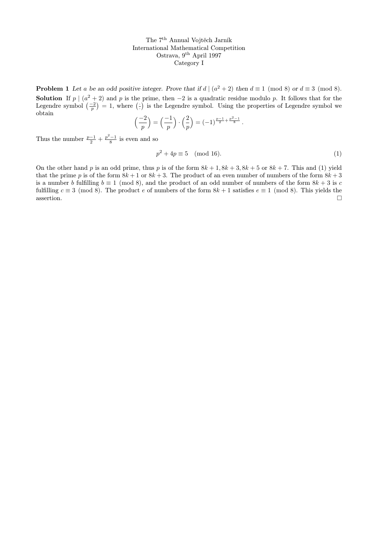**Problem 1** Let a be an odd positive integer. Prove that if  $d \mid (a^2 + 2)$  then  $d \equiv 1 \pmod{8}$  or  $d \equiv 3 \pmod{8}$ . **Solution** If  $p \mid (a^2 + 2)$  and p is the prime, then  $-2$  is a quadratic residue modulo p. It follows that for the Legendre symbol  $\left(\frac{-2}{p}\right) = 1$ , where  $\left(\frac{1}{p}\right)$  is the Legendre symbol. Using the properties of Legendre symbol we obtain

$$
\left(\frac{-2}{p}\right) = \left(\frac{-1}{p}\right) \cdot \left(\frac{2}{p}\right) = (-1)^{\frac{p-1}{2} + \frac{p^2-1}{8}}.
$$

Thus the number  $\frac{p-1}{2} + \frac{p^2-1}{8}$  is even and so

$$
p^2 + 4p \equiv 5 \pmod{16}.\tag{1}
$$

On the other hand p is an odd prime, thus p is of the form  $8k + 1$ ,  $8k + 3$ ,  $8k + 5$  or  $8k + 7$ . This and (1) yield that the prime p is of the form  $8k + 1$  or  $8k + 3$ . The product of an even number of numbers of the form  $8k + 3$ is a number b fulfilling  $b \equiv 1 \pmod{8}$ , and the product of an odd number of numbers of the form  $8k + 3$  is c fulfilling  $c \equiv 3 \pmod{8}$ . The product e of numbers of the form  $8k + 1$  satisfies  $e \equiv 1 \pmod{8}$ . This yields the  $\Box$ assertion.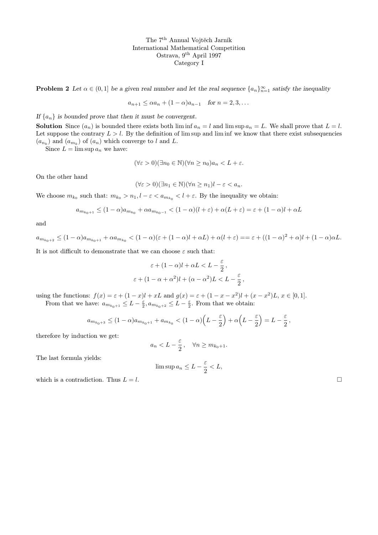**Problem 2** Let  $\alpha \in (0,1]$  be a given real number and let the real sequence  $\{a_n\}_{n=1}^{\infty}$  satisfy the inequality

$$
a_{n+1} \leq \alpha a_n + (1 - \alpha)a_{n-1} \quad \text{for } n = 2, 3, \dots
$$

If  $\{a_n\}$  is bounded prove that then it must be convergent.

**Solution** Since  $(a_n)$  is bounded there exists both  $\liminf a_n = l$  and  $\limsup a_n = L$ . We shall prove that  $L = l$ . Let suppose the contrary  $L > l$ . By the definition of lim sup and lim inf we know that there exist subsequencies  $(a_{n_k})$  and  $(a_{m_k})$  of  $(a_n)$  which converge to l and L.

Since  $L = \limsup a_n$  we have:

$$
(\forall \varepsilon > 0)(\exists n_0 \in \mathbb{N})(\forall n \ge n_0)a_n < L + \varepsilon.
$$

On the other hand

$$
(\forall \varepsilon > 0)(\exists n_1 \in \mathbb{N})(\forall n \ge n_1)l - \varepsilon < a_n.
$$

We choose  $m_{k_0}$  such that:  $m_{k_0} > n_1$ ,  $l - \varepsilon < a_{m_{k_0}} < l + \varepsilon$ . By the inequality we obtain:

$$
a_{m_{k_0+1}} \le (1-\alpha)a_{m_{k_0}} + \alpha a_{m_{k_0-1}} < (1-\alpha)(l+\varepsilon) + \alpha(L+\varepsilon) = \varepsilon + (1-\alpha)l + \alpha L
$$

and

$$
a_{m_{k_0+2}} \le (1-\alpha)a_{m_{k_0+1}} + \alpha a_{m_{k_0}} < (1-\alpha)(\varepsilon + (1-\alpha)l + \alpha L) + \alpha(l+\varepsilon) = \varepsilon + ((1-\alpha)^2 + \alpha)l + (1-\alpha)\alpha L.
$$

It is not difficult to demonstrate that we can choose  $\varepsilon$  such that:

$$
\varepsilon + (1 - \alpha)l + \alpha L < L - \frac{\varepsilon}{2},
$$
\n
$$
\varepsilon + (1 - \alpha + \alpha^2)l + (\alpha - \alpha^2)L < L - \frac{\varepsilon}{2}
$$

,

using the functions:  $f(x) = \varepsilon + (1-x)l + xL$  and  $g(x) = \varepsilon + (1-x-x^2)l + (x-x^2)L$ ,  $x \in [0,1]$ .

From that we have:  $a_{m_{k_0+1}} \leq L - \frac{\varepsilon}{2}$ ,  $a_{m_{k_0+2}} \leq L - \frac{\varepsilon}{2}$ . From that we obtain:

$$
a_{m_{k_0+3}} \le (1-\alpha)a_{m_{k_0+1}} + a_{m_{k_0}} < (1-\alpha)\left(L - \frac{\varepsilon}{2}\right) + \alpha\left(L - \frac{\varepsilon}{2}\right) = L - \frac{\varepsilon}{2},
$$

therefore by induction we get:

$$
a_n < L - \frac{\varepsilon}{2}, \quad \forall n \ge m_{k_0+1}.
$$

The last formula yields:

$$
\limsup a_n \le L - \frac{\varepsilon}{2} < L,
$$

which is a contradiction. Thus  $L = l$ .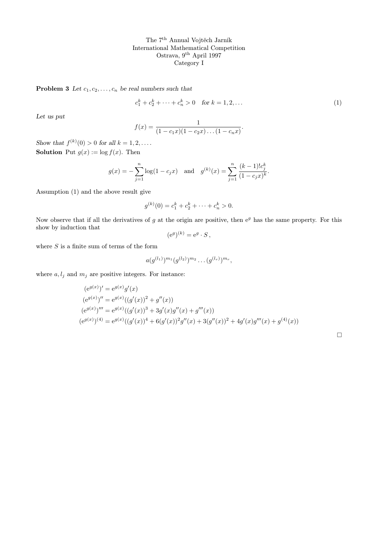**Problem 3** Let  $c_1, c_2, \ldots, c_n$  be real numbers such that

$$
c_1^k + c_2^k + \dots + c_n^k > 0 \quad \text{for } k = 1, 2, \dots \tag{1}
$$

Let us put

$$
f(x) = \frac{1}{(1 - c_1 x)(1 - c_2 x) \dots (1 - c_n x)}.
$$

Show that  $f^{(k)}(0) > 0$  for all  $k = 1, 2, \ldots$ . **Solution** Put  $g(x) := \log f(x)$ . Then

$$
g(x) = -\sum_{j=1}^{n} \log(1 - c_j x)
$$
 and  $g^{(k)}(x) = \sum_{j=1}^{n} \frac{(k-1)!c_j^k}{(1 - c_j x)^k}$ .

Assumption (1) and the above result give

$$
g^{(k)}(0) = c_1^k + c_2^k + \dots + c_n^k > 0.
$$

Now observe that if all the derivatives of  $g$  at the origin are positive, then  $e^g$  has the same property. For this show by induction that

$$
(\mathrm{e}^g)^{(k)} = \mathrm{e}^g \cdot S \,,
$$

where  $S$  is a finite sum of terms of the form

$$
a(g^{(l_1)})^{m_1}(g^{(l_2)})^{m_2}\ldots(g^{(l_r)})^{m_r},
$$

where  $a, l_j$  and  $m_j$  are positive integers. For instance:

$$
(e^{g(x)})' = e^{g(x)}g'(x)
$$
  
\n
$$
(e^{g(x)})'' = e^{g(x)}((g'(x))^2 + g''(x))
$$
  
\n
$$
(e^{g(x)})''' = e^{g(x)}((g'(x))^3 + 3g'(x)g''(x) + g'''(x))
$$
  
\n
$$
(e^{g(x)})^{(4)} = e^{g(x)}((g'(x))^4 + 6(g'(x))^2g''(x) + 3(g''(x))^2 + 4g'(x)g'''(x) + g^{(4)}(x))
$$

 $\Box$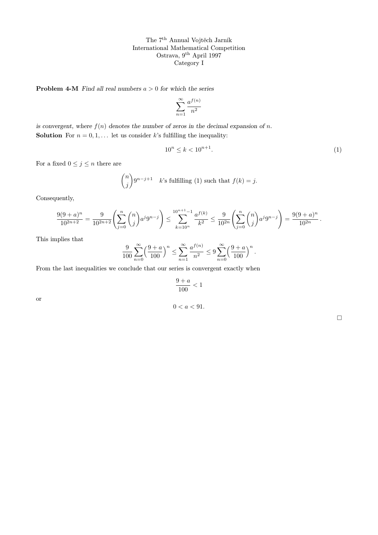**Problem 4-M** Find all real numbers  $a > 0$  for which the series

$$
\sum_{n=1}^{\infty} \frac{a^{f(n)}}{n^2}
$$

is convergent, where  $f(n)$  denotes the number of zeros in the decimal expansion of n. **Solution** For  $n = 0, 1, \ldots$  let us consider k's fulfilling the inequality:

$$
10^n \le k < 10^{n+1}.\tag{1}
$$

For a fixed  $0 \leq j \leq n$  there are

$$
\binom{n}{j} 9^{n-j+1} \quad k \text{'s fulfilling (1) such that } f(k) = j.
$$

Consequently,

$$
\frac{9(9+a)^n}{10^{2n+2}} = \frac{9}{10^{2n+2}} \left( \sum_{j=0}^n \binom{n}{j} a^j 9^{n-j} \right) \le \sum_{k=10^n}^{10^{n+1}-1} \frac{a^{f(k)}}{k^2} \le \frac{9}{10^{2n}} \left( \sum_{j=0}^n \binom{n}{j} a^j 9^{n-j} \right) = \frac{9(9+a)^n}{10^{2n}}.
$$

This implies that

$$
\frac{9}{100} \sum_{n=0}^{\infty} \left(\frac{9+a}{100}\right)^n \le \sum_{n=1}^{\infty} \frac{a^{f(n)}}{n^2} \le 9 \sum_{n=0}^{\infty} \left(\frac{9+a}{100}\right)^n.
$$

From the last inequalities we conclude that our series is convergent exactly when

$$
\frac{9+a}{100} < 1
$$

 $0 < a < 91$ .

or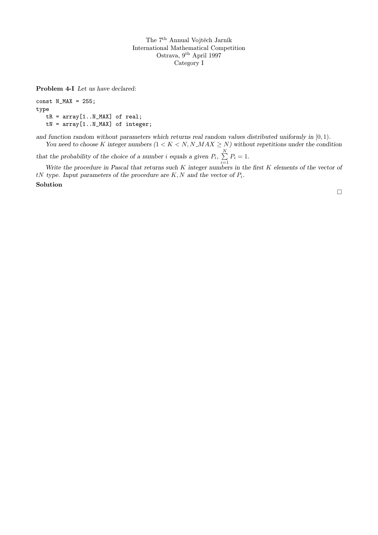Problem 4-I Let us have declared:

const  $N_MAX = 255$ ; type  $tR = array[1..N_MAX]$  of real;  $tN = array[1..N_MAX]$  of integer;

and function random without parameters which returns real random values distributed uniformly in  $[0, 1)$ . You need to choose K integer numbers  $(1 < K < N, N \cdot MAX \geq N)$  without repetitions under the condition

that the probability of the choice of a number *i* equals a given  $P_i$ ,  $\sum^N$  $\sum_{i=1} P_i = 1.$ 

Write the procedure in Pascal that returns such  $K$  integer numbers in the first  $K$  elements of the vector of  $tN$  type. Input parameters of the procedure are  $K, N$  and the vector of  $P_i$ .

Solution

 $\Box$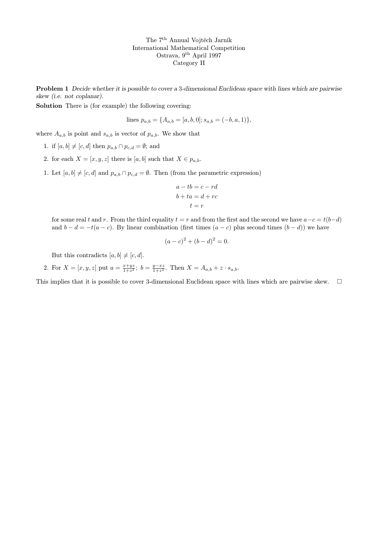Problem 1 Decide whether it is possible to cover a 3-dimensional Euclidean space with lines which are pairwise skew (i.e. not coplanar).

Solution There is (for example) the following covering:

lines 
$$
p_{a,b} = \{A_{a,b} = [a, b, 0]; s_{a,b} = (-b, a, 1)\},\
$$

where  $A_{a,b}$  is point and  $s_{a,b}$  is vector of  $p_{a,b}$ . We show that

- 1. if  $[a, b] \neq [c, d]$  then  $p_{a,b} \cap p_{c,d} = \emptyset$ ; and
- 2. for each  $X = [x, y, z]$  there is  $[a, b]$  such that  $X \in p_{a,b}$ .
- 1. Let  $[a, b] \neq [c, d]$  and  $p_{a,b} \cap p_{c,d} = \emptyset$ . Then (from the parametric expression)

$$
a - tb = c - rd
$$

$$
b + ta = d + rc
$$

$$
t = r
$$

for some real t and r. From the third equality  $t = r$  and from the first and the second we have  $a - c = t(b-d)$ and  $b - d = -t(a - c)$ . By linear combination (first times  $(a - c)$  plus second times  $(b - d)$ ) we have

$$
(a-c)^2 + (b-d)^2 = 0.
$$

But this contradicts  $[a, b] \neq [c, d]$ .

2. For  $X = [x, y, z]$  put  $a = \frac{x + yz}{1 + z^2}$ ;  $b = \frac{y - xz}{1 + z^2}$ . Then  $X = A_{a,b} + z \cdot s_{a,b}$ .

This implies that it is possible to cover 3-dimensional Euclidean space with lines which are pairwise skew.  $\Box$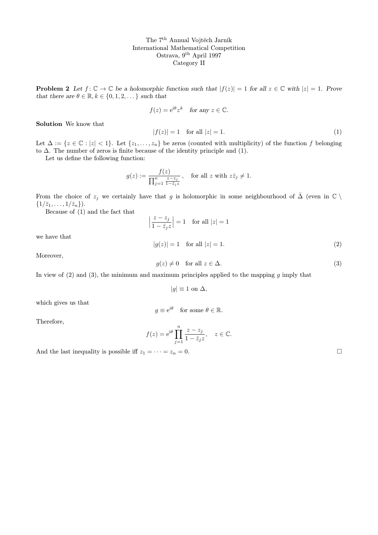**Problem 2** Let  $f: \mathbb{C} \to \mathbb{C}$  be a holomorphic function such that  $|f(z)| = 1$  for all  $z \in \mathbb{C}$  with  $|z| = 1$ . Prove that there are  $\theta \in \mathbb{R}, k \in \{0, 1, 2, \dots\}$  such that

$$
f(z) = e^{i\theta} z^k
$$
 for any  $z \in \mathbb{C}$ .

Solution We know that

$$
|f(z)| = 1 \quad \text{for all } |z| = 1. \tag{1}
$$

Let  $\Delta := \{z \in \mathbb{C} : |z| < 1\}$ . Let  $\{z_1, \ldots, z_n\}$  be zeros (counted with multiplicity) of the function f belonging to  $\Delta$ . The number of zeros is finite because of the identity principle and (1).

Let us define the following function:

$$
g(z) := \frac{f(z)}{\prod_{j=1}^n \frac{z-z_j}{1-\bar{z}_j z}}, \quad \text{for all } z \text{ with } z\bar{z}_j \neq 1.
$$

From the choice of  $z_j$  we certainly have that g is holomorphic in some neighbourhood of  $\overline{\Delta}$  (even in  $\mathbb{C} \setminus$  $\{1/\bar{z}_1,\ldots,1/\bar{z}_n\}).$ 

Because of (1) and the fact that

$$
\left|\frac{z-z_j}{1-\bar{z}_jz}\right|=1 \quad \text{for all}\ |z|=1
$$

we have that

 $|g(z)| = 1$  for all  $|z| = 1$ . (2)

Moreover,

$$
g(z) \neq 0 \quad \text{for all } z \in \Delta. \tag{3}
$$

In view of  $(2)$  and  $(3)$ , the minimum and maximum principles applied to the mapping g imply that

$$
|g| \equiv 1
$$
 on  $\Delta$ ,

which gives us that

$$
g \equiv e^{i\theta} \quad \text{for some } \theta \in \mathbb{R}.
$$

Therefore,

$$
f(z) = e^{i\theta} \prod_{j=1}^{n} \frac{z - z_j}{1 - \overline{z}_j z}, \quad z \in \mathbb{C}.
$$
  
And the last inequality is possible iff  $z_1 = \cdots = z_n = 0$ .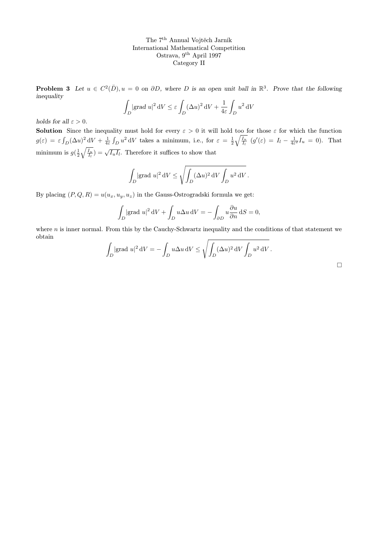**Problem 3** Let  $u \in C^2(\overline{D}), u = 0$  on  $\partial D$ , where D is an open unit ball in  $\mathbb{R}^3$ . Prove that the following inequality

$$
\int_D |\text{grad } u|^2 \, \mathrm{d}V \le \varepsilon \int_D (\Delta u)^2 \, \mathrm{d}V + \frac{1}{4\varepsilon} \int_D u^2 \, \mathrm{d}V
$$

holds for all  $\varepsilon > 0$ .

**Solution** Since the inequality must hold for every  $\varepsilon > 0$  it will hold too for those  $\varepsilon$  for which the function  $g(\varepsilon) = \varepsilon \int_D (\Delta u)^2 dV + \frac{1}{4\varepsilon} \int_D u^2 dV$  takes a minimum, i.e., for  $\varepsilon = \frac{1}{2} \sqrt{\frac{I_u}{I_l}}$   $(g'(\varepsilon) = I_l - \frac{1}{4\varepsilon^2} I_u = 0)$ . That minimum is  $g(\frac{1}{2}\sqrt{\frac{I_u}{I_l}}) = \sqrt{I_u I_l}$ . Therefore it suffices to show that

$$
\int_D |\text{grad } u|^2 \, \mathrm{d}V \le \sqrt{\int_D (\Delta u)^2 \, \mathrm{d}V \int_D u^2 \, \mathrm{d}V}.
$$

By placing  $(P, Q, R) = u(u_x, u_y, u_z)$  in the Gauss-Ostrogradski formula we get:

$$
\int_D |\text{grad } u|^2 \, dV + \int_D u \Delta u \, dV = -\int_{\partial D} u \frac{\partial u}{\partial n} \, dS = 0,
$$

where  $n$  is inner normal. From this by the Cauchy-Schwartz inequality and the conditions of that statement we obtain

$$
\int_D |\mathrm{grad } \ u|^2 \, \mathrm{d} V = - \int_D u \Delta u \, \mathrm{d} V \le \sqrt{\int_D (\Delta u)^2 \, \mathrm{d} V \int_D u^2 \, \mathrm{d} V} \, .
$$

 $\Box$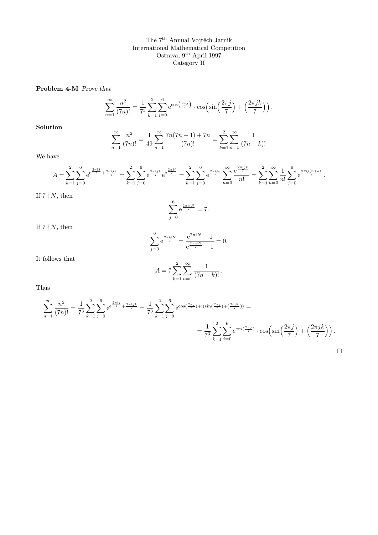Problem 4-M Prove that

$$
\sum_{n=1}^{\infty} \frac{n^2}{(7n)!} = \frac{1}{7^3} \sum_{k=1}^{2} \sum_{j=0}^{6} e^{\cos\left(\frac{2\pi j}{7}\right)} \cdot \cos\left(\sin\left(\frac{2\pi j}{7}\right) + \left(\frac{2\pi jk}{7}\right)\right).
$$

Solution

$$
\sum_{n=1}^{\infty} \frac{n^2}{(7n)!} = \frac{1}{49} \sum_{n=1}^{\infty} \frac{7n(7n-1) + 7n}{(7n)!} = \sum_{k=1}^{2} \sum_{n=1}^{\infty} \frac{1}{(7n-k)!}
$$

We have

$$
A = \sum_{k=1}^{2} \sum_{j=0}^{6} e^{\frac{2\pi ij}{7}} + \frac{2\pi ijk}{7} = \sum_{k=1}^{2} \sum_{j=0}^{6} e^{\frac{2\pi ijk}{7}} e^{\frac{2\pi ij}{7}} = \sum_{k=1}^{2} \sum_{j=0}^{6} e^{\frac{2\pi ijk}{7}} \sum_{n=0}^{\infty} \frac{e^{\frac{2\pi ijk}{7}}}{n!} = \sum_{k=1}^{2} \sum_{n=0}^{\infty} \frac{1}{n!} \sum_{j=0}^{6} e^{\frac{2\pi i j(n+k)}{7}}.
$$

If  $7 | N$ , then

$$
\sum_{j=0}^{6} e^{\frac{2\pi i j N}{7}} = 7.
$$

If  $7 \nmid N$ , then

$$
\sum_{j=0}^{6} e^{\frac{2\pi i j N}{7}} = \frac{e^{2\pi i N} - 1}{e^{\frac{2\pi i j N}{7}} - 1} = 0.
$$

It follows that

$$
A = 7 \sum_{k=1}^{2} \sum_{n=1}^{\infty} \frac{1}{(7n-k)!}.
$$

Thus

$$
\sum_{n=1}^{\infty} \frac{n^2}{(7n)!} = \frac{1}{7^3} \sum_{k=1}^2 \sum_{j=0}^6 e^{\frac{2\pi ij}{7} + \frac{2\pi ijk}{7}} = \frac{1}{7^3} \sum_{k=1}^2 \sum_{j=0}^6 e^{\cos(\frac{2\pi j}{7}) + i(\sin(\frac{2\pi j}{7}) + (\frac{2\pi jk}{7}))} =
$$
  
= 
$$
\frac{1}{7^3} \sum_{k=1}^2 \sum_{j=0}^6 e^{\cos(\frac{2\pi j}{7})} \cdot \cos\left(\sin\left(\frac{2\pi j}{7}\right) + \left(\frac{2\pi jk}{7}\right)\right).
$$